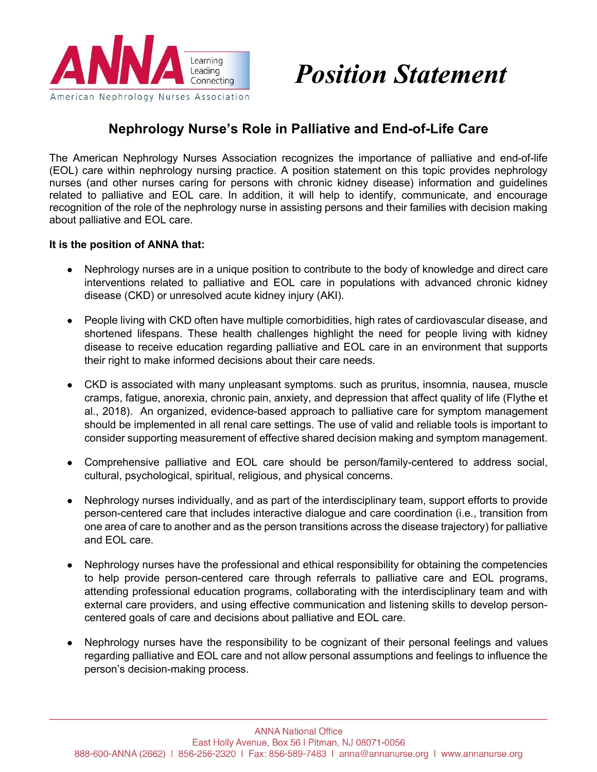

# *Position Statement*

## **Nephrology Nurse's Role in Palliative and End-of-Life Care**

The American Nephrology Nurses Association recognizes the importance of palliative and end-of-life (EOL) care within nephrology nursing practice. A position statement on this topic provides nephrology nurses (and other nurses caring for persons with chronic kidney disease) information and guidelines related to palliative and EOL care. In addition, it will help to identify, communicate, and encourage recognition of the role of the nephrology nurse in assisting persons and their families with decision making about palliative and EOL care.

#### **It is the position of ANNA that:**

- Nephrology nurses are in a unique position to contribute to the body of knowledge and direct care interventions related to palliative and EOL care in populations with advanced chronic kidney disease (CKD) or unresolved acute kidney injury (AKI).
- People living with CKD often have multiple comorbidities, high rates of cardiovascular disease, and shortened lifespans. These health challenges highlight the need for people living with kidney disease to receive education regarding palliative and EOL care in an environment that supports their right to make informed decisions about their care needs.
- CKD is associated with many unpleasant symptoms. such as pruritus, insomnia, nausea, muscle cramps, fatigue, anorexia, chronic pain, anxiety, and depression that affect quality of life (Flythe et al., 2018). An organized, evidence-based approach to palliative care for symptom management should be implemented in all renal care settings. The use of valid and reliable tools is important to consider supporting measurement of effective shared decision making and symptom management.
- Comprehensive palliative and EOL care should be person/family-centered to address social, cultural, psychological, spiritual, religious, and physical concerns.
- Nephrology nurses individually, and as part of the interdisciplinary team, support efforts to provide person-centered care that includes interactive dialogue and care coordination (i.e., transition from one area of care to another and as the person transitions across the disease trajectory) for palliative and EOL care.
- Nephrology nurses have the professional and ethical responsibility for obtaining the competencies to help provide person-centered care through referrals to palliative care and EOL programs, attending professional education programs, collaborating with the interdisciplinary team and with external care providers, and using effective communication and listening skills to develop personcentered goals of care and decisions about palliative and EOL care.
- Nephrology nurses have the responsibility to be cognizant of their personal feelings and values regarding palliative and EOL care and not allow personal assumptions and feelings to influence the person's decision-making process.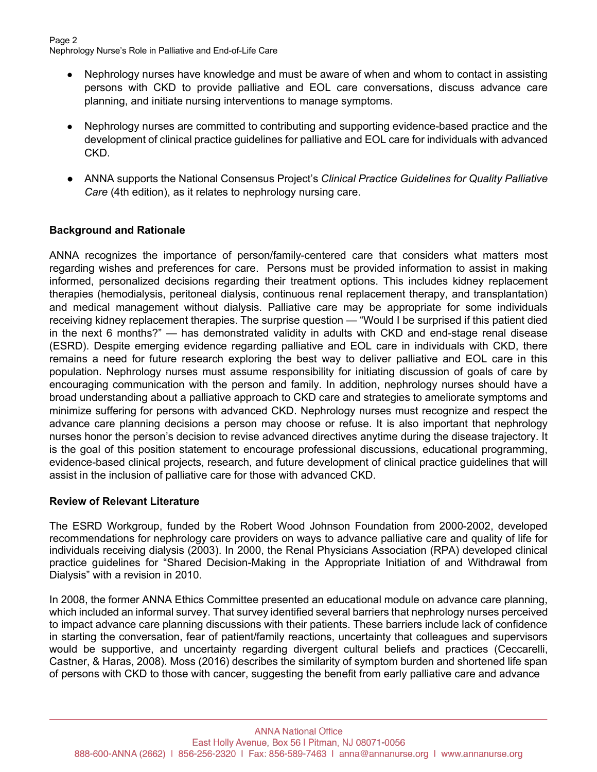- Nephrology nurses have knowledge and must be aware of when and whom to contact in assisting persons with CKD to provide palliative and EOL care conversations, discuss advance care planning, and initiate nursing interventions to manage symptoms.
- Nephrology nurses are committed to contributing and supporting evidence-based practice and the development of clinical practice guidelines for palliative and EOL care for individuals with advanced CKD.
- ANNA supports the National Consensus Project's *Clinical Practice Guidelines for Quality Palliative Care* (4th edition), as it relates to nephrology nursing care.

#### **Background and Rationale**

ANNA recognizes the importance of person/family-centered care that considers what matters most regarding wishes and preferences for care. Persons must be provided information to assist in making informed, personalized decisions regarding their treatment options. This includes kidney replacement therapies (hemodialysis, peritoneal dialysis, continuous renal replacement therapy, and transplantation) and medical management without dialysis. Palliative care may be appropriate for some individuals receiving kidney replacement therapies. The surprise question — "Would I be surprised if this patient died in the next 6 months?" — has demonstrated validity in adults with CKD and end-stage renal disease (ESRD). Despite emerging evidence regarding palliative and EOL care in individuals with CKD, there remains a need for future research exploring the best way to deliver palliative and EOL care in this population. Nephrology nurses must assume responsibility for initiating discussion of goals of care by encouraging communication with the person and family. In addition, nephrology nurses should have a broad understanding about a palliative approach to CKD care and strategies to ameliorate symptoms and minimize suffering for persons with advanced CKD. Nephrology nurses must recognize and respect the advance care planning decisions a person may choose or refuse. It is also important that nephrology nurses honor the person's decision to revise advanced directives anytime during the disease trajectory. It is the goal of this position statement to encourage professional discussions, educational programming, evidence-based clinical projects, research, and future development of clinical practice guidelines that will assist in the inclusion of palliative care for those with advanced CKD.

#### **Review of Relevant Literature**

The ESRD Workgroup, funded by the Robert Wood Johnson Foundation from 2000-2002, developed recommendations for nephrology care providers on ways to advance palliative care and quality of life for individuals receiving dialysis (2003). In 2000, the Renal Physicians Association (RPA) developed clinical practice guidelines for "Shared Decision-Making in the Appropriate Initiation of and Withdrawal from Dialysis" with a revision in 2010.

In 2008, the former ANNA Ethics Committee presented an educational module on advance care planning, which included an informal survey. That survey identified several barriers that nephrology nurses perceived to impact advance care planning discussions with their patients. These barriers include lack of confidence in starting the conversation, fear of patient/family reactions, uncertainty that colleagues and supervisors would be supportive, and uncertainty regarding divergent cultural beliefs and practices (Ceccarelli, Castner, & Haras, 2008). Moss (2016) describes the similarity of symptom burden and shortened life span of persons with CKD to those with cancer, suggesting the benefit from early palliative care and advance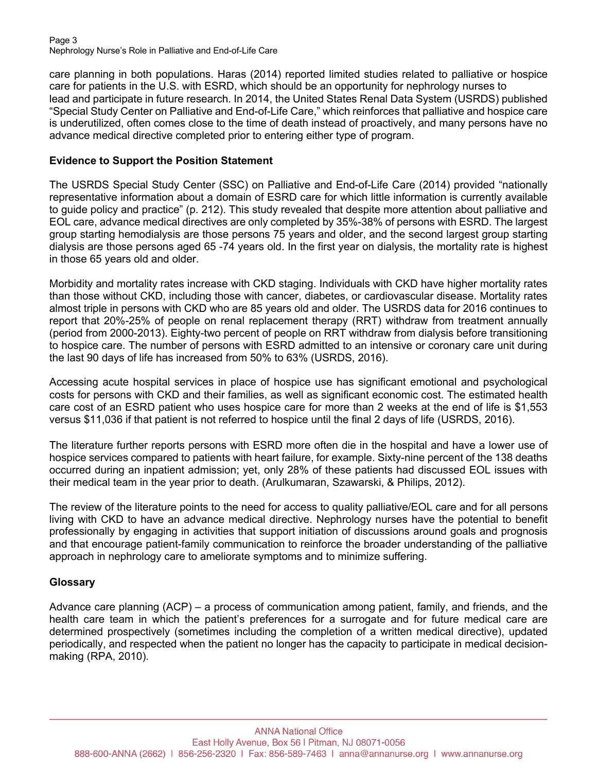#### Page 3 Nephrology Nurse's Role in Palliative and End-of-Life Care

care planning in both populations. Haras (2014) reported limited studies related to palliative or hospice care for patients in the U.S. with ESRD, which should be an opportunity for nephrology nurses to lead and participate in future research. In 2014, the United States Renal Data System (USRDS) published "Special Study Center on Palliative and End-of-Life Care," which reinforces that palliative and hospice care is underutilized, often comes close to the time of death instead of proactively, and many persons have no advance medical directive completed prior to entering either type of program.

#### **Evidence to Support the Position Statement**

The USRDS Special Study Center (SSC) on Palliative and End-of-Life Care (2014) provided "nationally representative information about a domain of ESRD care for which little information is currently available to guide policy and practice" (p. 212). This study revealed that despite more attention about palliative and EOL care, advance medical directives are only completed by 35%-38% of persons with ESRD. The largest group starting hemodialysis are those persons 75 years and older, and the second largest group starting dialysis are those persons aged 65 -74 years old. In the first year on dialysis, the mortality rate is highest in those 65 years old and older.

Morbidity and mortality rates increase with CKD staging. Individuals with CKD have higher mortality rates than those without CKD, including those with cancer, diabetes, or cardiovascular disease. Mortality rates almost triple in persons with CKD who are 85 years old and older. The USRDS data for 2016 continues to report that 20%-25% of people on renal replacement therapy (RRT) withdraw from treatment annually (period from 2000-2013). Eighty-two percent of people on RRT withdraw from dialysis before transitioning to hospice care. The number of persons with ESRD admitted to an intensive or coronary care unit during the last 90 days of life has increased from 50% to 63% (USRDS, 2016).

Accessing acute hospital services in place of hospice use has significant emotional and psychological costs for persons with CKD and their families, as well as significant economic cost. The estimated health care cost of an ESRD patient who uses hospice care for more than 2 weeks at the end of life is \$1,553 versus \$11,036 if that patient is not referred to hospice until the final 2 days of life (USRDS, 2016).

The literature further reports persons with ESRD more often die in the hospital and have a lower use of hospice services compared to patients with heart failure, for example. Sixty-nine percent of the 138 deaths occurred during an inpatient admission; yet, only 28% of these patients had discussed EOL issues with their medical team in the year prior to death. (Arulkumaran, Szawarski, & Philips, 2012).

The review of the literature points to the need for access to quality palliative/EOL care and for all persons living with CKD to have an advance medical directive. Nephrology nurses have the potential to benefit professionally by engaging in activities that support initiation of discussions around goals and prognosis and that encourage patient-family communication to reinforce the broader understanding of the palliative approach in nephrology care to ameliorate symptoms and to minimize suffering.

## **Glossary**

Advance care planning (ACP) – a process of communication among patient, family, and friends, and the health care team in which the patient's preferences for a surrogate and for future medical care are determined prospectively (sometimes including the completion of a written medical directive), updated periodically, and respected when the patient no longer has the capacity to participate in medical decisionmaking (RPA, 2010).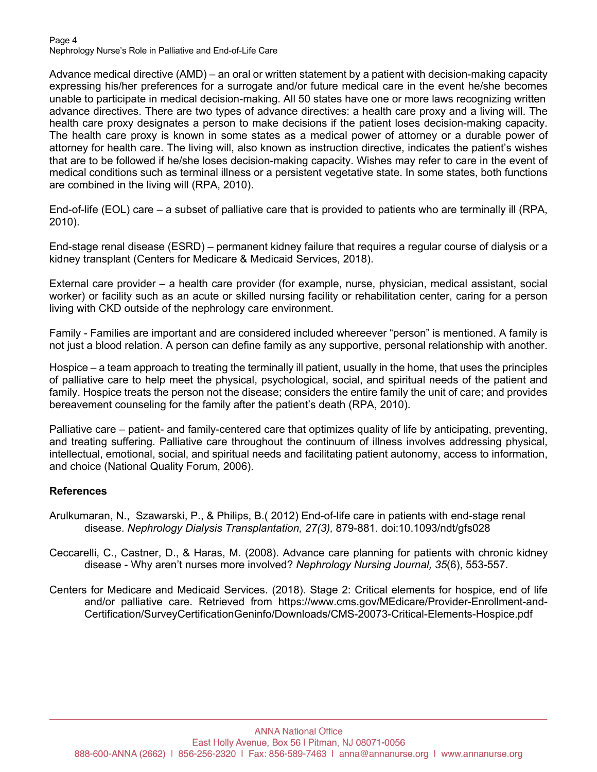#### Page 4 Nephrology Nurse's Role in Palliative and End-of-Life Care

Advance medical directive (AMD) – an oral or written statement by a patient with decision-making capacity expressing his/her preferences for a surrogate and/or future medical care in the event he/she becomes unable to participate in medical decision-making. All 50 states have one or more laws recognizing written advance directives. There are two types of advance directives: a health care proxy and a living will. The health care proxy designates a person to make decisions if the patient loses decision-making capacity. The health care proxy is known in some states as a medical power of attorney or a durable power of attorney for health care. The living will, also known as instruction directive, indicates the patient's wishes that are to be followed if he/she loses decision-making capacity. Wishes may refer to care in the event of medical conditions such as terminal illness or a persistent vegetative state. In some states, both functions are combined in the living will (RPA, 2010).

End-of-life (EOL) care – a subset of palliative care that is provided to patients who are terminally ill (RPA, 2010).

End-stage renal disease (ESRD) – permanent kidney failure that requires a regular course of dialysis or a kidney transplant (Centers for Medicare & Medicaid Services, 2018).

External care provider – a health care provider (for example, nurse, physician, medical assistant, social worker) or facility such as an acute or skilled nursing facility or rehabilitation center, caring for a person living with CKD outside of the nephrology care environment.

Family - Families are important and are considered included whereever "person" is mentioned. A family is not just a blood relation. A person can define family as any supportive, personal relationship with another.

Hospice – a team approach to treating the terminally ill patient, usually in the home, that uses the principles of palliative care to help meet the physical, psychological, social, and spiritual needs of the patient and family. Hospice treats the person not the disease; considers the entire family the unit of care; and provides bereavement counseling for the family after the patient's death (RPA, 2010).

Palliative care – patient- and family-centered care that optimizes quality of life by anticipating, preventing, and treating suffering. Palliative care throughout the continuum of illness involves addressing physical, intellectual, emotional, social, and spiritual needs and facilitating patient autonomy, access to information, and choice (National Quality Forum, 2006).

#### **References**

- Arulkumaran, N., Szawarski, P., & Philips, B.( 2012) End-of-life care in patients with end-stage renal disease. *Nephrology Dialysis Transplantation, 27(3),* 879-881. doi:10.1093/ndt/gfs028
- Ceccarelli, C., Castner, D., & Haras, M. (2008). Advance care planning for patients with chronic kidney disease - Why aren't nurses more involved? *Nephrology Nursing Journal, 35*(6), 553-557.
- Centers for Medicare and Medicaid Services. (2018). Stage 2: Critical elements for hospice, end of life and/or palliative care. Retrieved from https://www.cms.gov/MEdicare/Provider-Enrollment-and-Certification/SurveyCertificationGeninfo/Downloads/CMS-20073-Critical-Elements-Hospice.pdf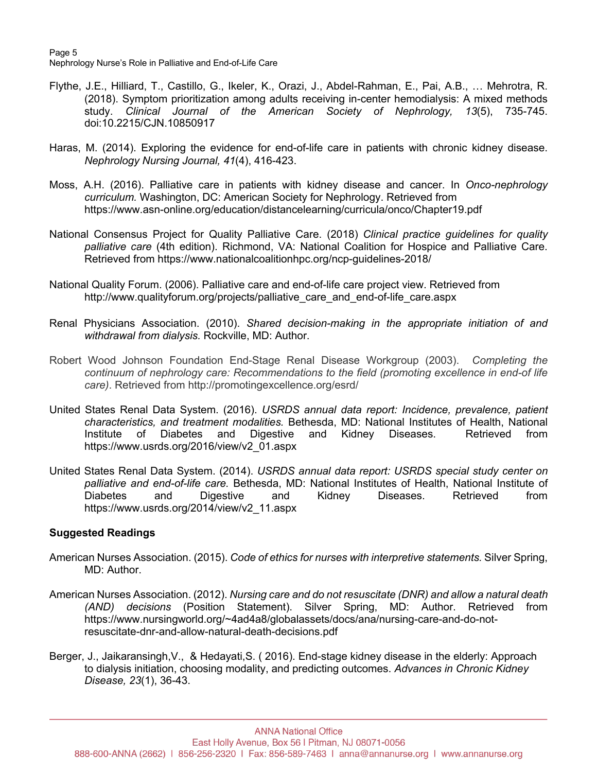Page 5 Nephrology Nurse's Role in Palliative and End-of-Life Care

- Flythe, J.E., Hilliard, T., Castillo, G., Ikeler, K., Orazi, J., Abdel-Rahman, E., Pai, A.B., … Mehrotra, R. (2018). Symptom prioritization among adults receiving in-center hemodialysis: A mixed methods study. *Clinical Journal of the American Society of Nephrology, 13*(5), 735-745. doi:10.2215/CJN.10850917
- Haras, M. (2014). Exploring the evidence for end-of-life care in patients with chronic kidney disease. *Nephrology Nursing Journal, 41*(4), 416-423.
- Moss, A.H. (2016). Palliative care in patients with kidney disease and cancer. In *Onco-nephrology curriculum.* Washington, DC: American Society for Nephrology. Retrieved from https://www.asn-online.org/education/distancelearning/curricula/onco/Chapter19.pdf
- National Consensus Project for Quality Palliative Care. (2018) *Clinical practice guidelines for quality palliative care* (4th edition). Richmond, VA: National Coalition for Hospice and Palliative Care. Retrieved from https://www.nationalcoalitionhpc.org/ncp-guidelines-2018/
- National Quality Forum. (2006). Palliative care and end-of-life care project view. Retrieved from http://www.qualityforum.org/projects/palliative\_care\_and\_end-of-life\_care.aspx
- Renal Physicians Association. (2010). *Shared decision-making in the appropriate initiation of and withdrawal from dialysis.* Rockville, MD: Author.
- Robert Wood Johnson Foundation End-Stage Renal Disease Workgroup (2003). *Completing the continuum of nephrology care: Recommendations to the field (promoting excellence in end-of life care)*. Retrieved from http://promotingexcellence.org/esrd/
- United States Renal Data System. (2016). *USRDS annual data report: Incidence, prevalence, patient characteristics, and treatment modalities.* Bethesda, MD: National Institutes of Health, National Institute of Diabetes and Digestive and Kidney Diseases. Retrieved from https://www.usrds.org/2016/view/v2\_01.aspx
- United States Renal Data System. (2014). *USRDS annual data report: USRDS special study center on palliative and end-of-life care.* Bethesda, MD: National Institutes of Health, National Institute of Diabetes and Digestive and Kidney Diseases. Retrieved from https://www.usrds.org/2014/view/v2\_11.aspx

#### **Suggested Readings**

- American Nurses Association. (2015). *Code of ethics for nurses with interpretive statements.* Silver Spring, MD: Author.
- American Nurses Association. (2012). *Nursing care and do not resuscitate (DNR) and allow a natural death (AND) decisions* (Position Statement). Silver Spring, MD: Author. Retrieved from https://www.nursingworld.org/~4ad4a8/globalassets/docs/ana/nursing-care-and-do-notresuscitate-dnr-and-allow-natural-death-decisions.pdf
- Berger, J., Jaikaransingh,V., & Hedayati,S. ( 2016). End-stage kidney disease in the elderly: Approach to dialysis initiation, choosing modality, and predicting outcomes. *Advances in Chronic Kidney Disease, 23*(1), 36-43.